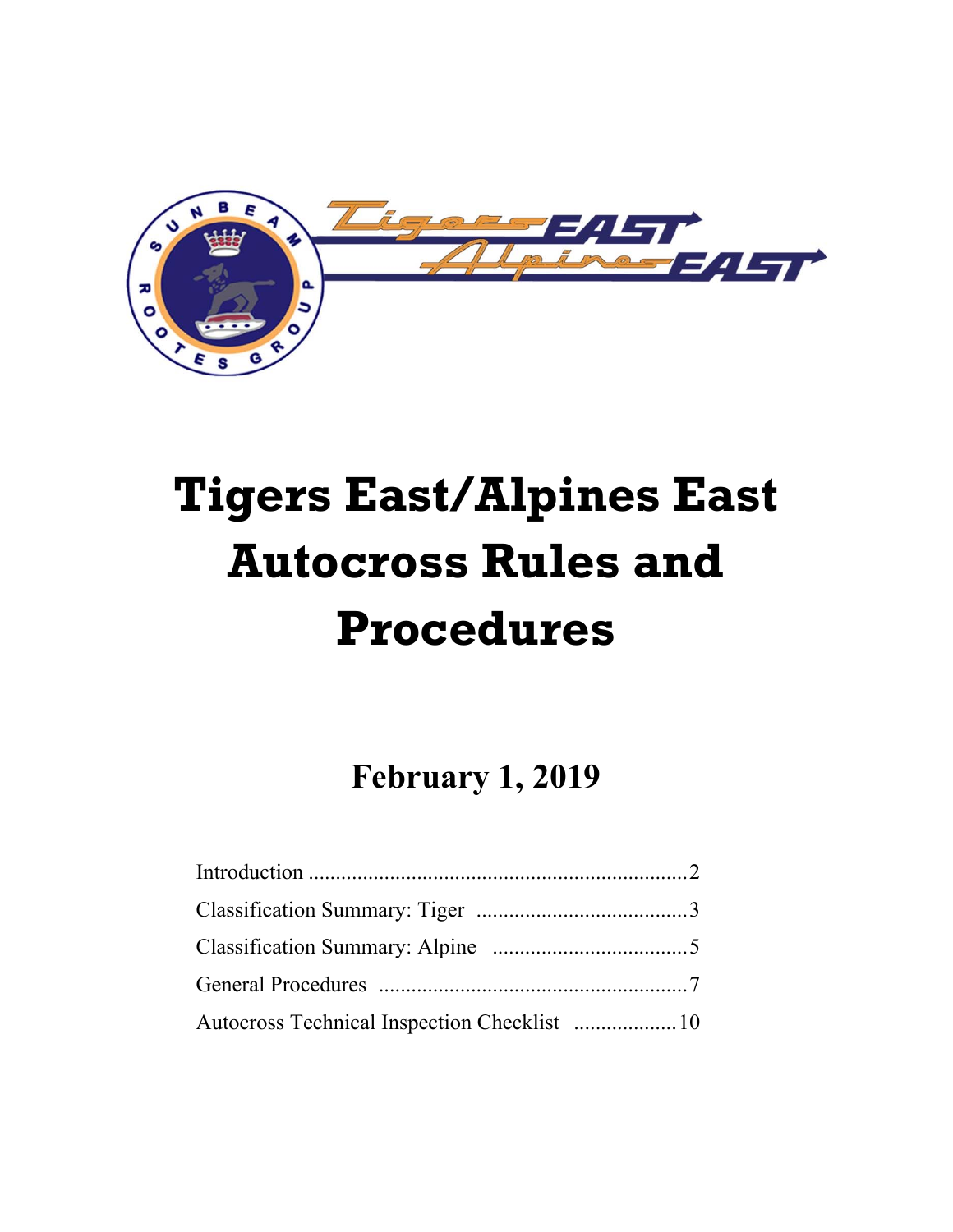

# **Tigers East/Alpines East Autocross Rules and Procedures**

**February 1, 2019**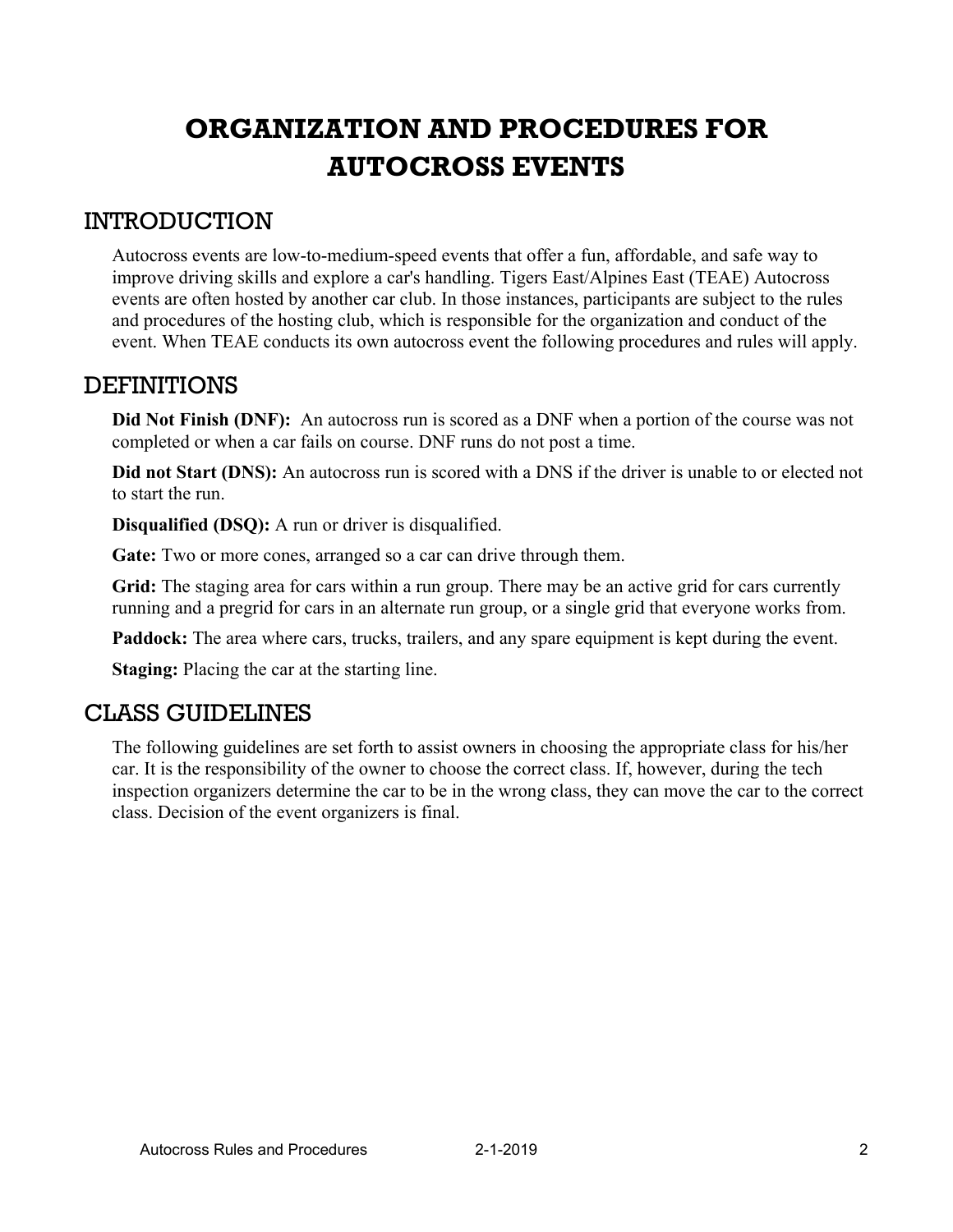### **ORGANIZATION AND PROCEDURES FOR AUTOCROSS EVENTS**

#### INTRODUCTION

Autocross events are low-to-medium-speed events that offer a fun, affordable, and safe way to improve driving skills and explore a car's handling. Tigers East/Alpines East (TEAE) Autocross events are often hosted by another car club. In those instances, participants are subject to the rules and procedures of the hosting club, which is responsible for the organization and conduct of the event. When TEAE conducts its own autocross event the following procedures and rules will apply.

#### **DEFINITIONS**

**Did Not Finish (DNF):** An autocross run is scored as a DNF when a portion of the course was not completed or when a car fails on course. DNF runs do not post a time.

**Did not Start (DNS):** An autocross run is scored with a DNS if the driver is unable to or elected not to start the run.

**Disqualified (DSQ):** A run or driver is disqualified.

Gate: Two or more cones, arranged so a car can drive through them.

Grid: The staging area for cars within a run group. There may be an active grid for cars currently running and a pregrid for cars in an alternate run group, or a single grid that everyone works from.

Paddock: The area where cars, trucks, trailers, and any spare equipment is kept during the event.

**Staging:** Placing the car at the starting line.

#### CLASS GUIDELINES

The following guidelines are set forth to assist owners in choosing the appropriate class for his/her car. It is the responsibility of the owner to choose the correct class. If, however, during the tech inspection organizers determine the car to be in the wrong class, they can move the car to the correct class. Decision of the event organizers is final.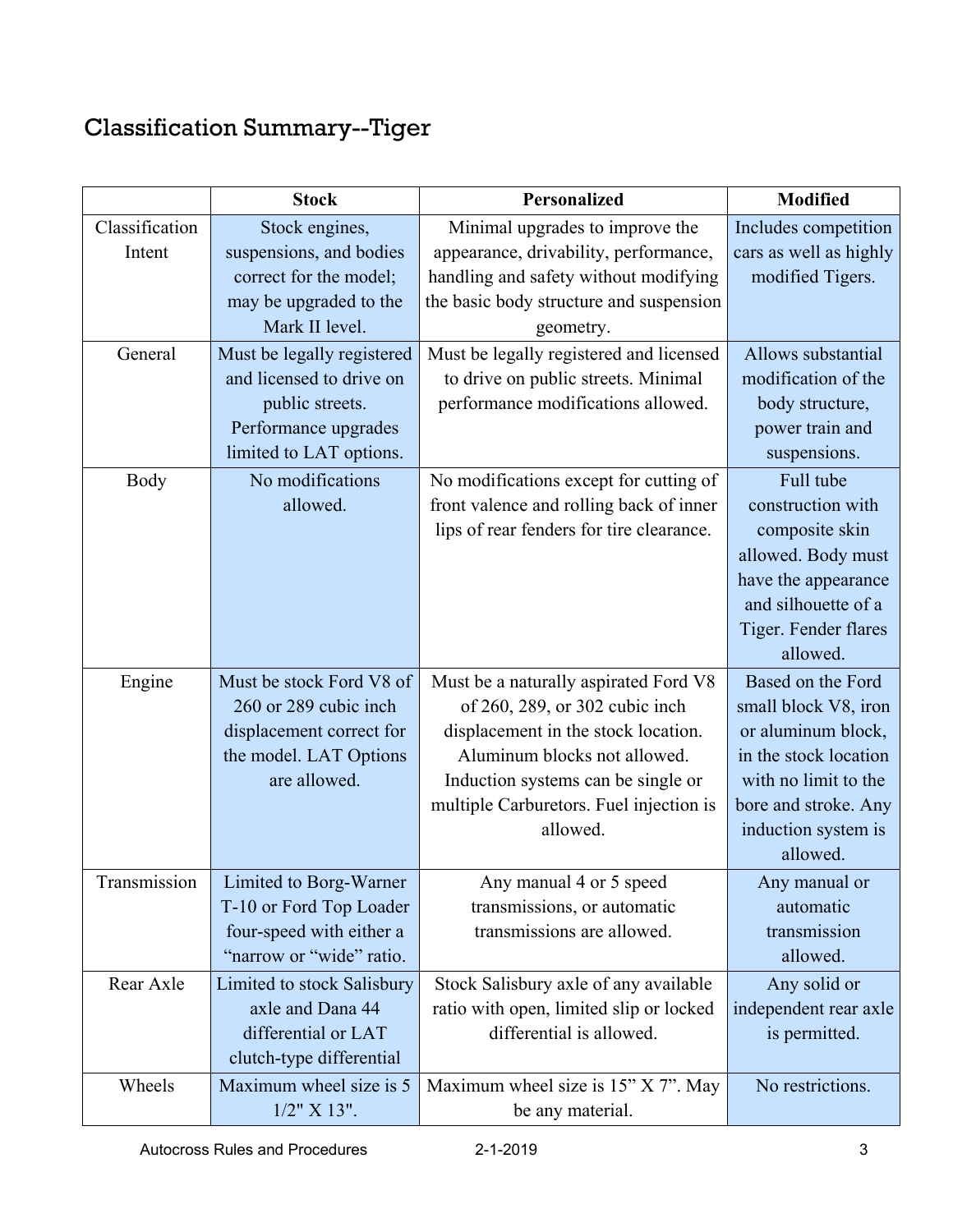## Classification Summary--Tiger

|                | <b>Stock</b>               | Personalized                             | <b>Modified</b>        |  |
|----------------|----------------------------|------------------------------------------|------------------------|--|
| Classification | Stock engines,             | Minimal upgrades to improve the          | Includes competition   |  |
| Intent         | suspensions, and bodies    | appearance, drivability, performance,    | cars as well as highly |  |
|                | correct for the model;     | handling and safety without modifying    | modified Tigers.       |  |
|                | may be upgraded to the     | the basic body structure and suspension  |                        |  |
|                | Mark II level.             | geometry.                                |                        |  |
| General        | Must be legally registered | Must be legally registered and licensed  | Allows substantial     |  |
|                | and licensed to drive on   | to drive on public streets. Minimal      | modification of the    |  |
|                | public streets.            | performance modifications allowed.       | body structure,        |  |
|                | Performance upgrades       |                                          | power train and        |  |
|                | limited to LAT options.    |                                          | suspensions.           |  |
| Body           | No modifications           | No modifications except for cutting of   | Full tube              |  |
|                | allowed.                   | front valence and rolling back of inner  | construction with      |  |
|                |                            | lips of rear fenders for tire clearance. | composite skin         |  |
|                |                            |                                          | allowed. Body must     |  |
|                |                            |                                          | have the appearance    |  |
|                |                            |                                          | and silhouette of a    |  |
|                |                            |                                          | Tiger. Fender flares   |  |
|                |                            |                                          | allowed.               |  |
| Engine         | Must be stock Ford V8 of   | Must be a naturally aspirated Ford V8    | Based on the Ford      |  |
|                | 260 or 289 cubic inch      | of 260, 289, or 302 cubic inch           | small block V8, iron   |  |
|                | displacement correct for   | displacement in the stock location.      | or aluminum block,     |  |
|                | the model. LAT Options     | Aluminum blocks not allowed.             | in the stock location  |  |
|                | are allowed.               | Induction systems can be single or       | with no limit to the   |  |
|                |                            | multiple Carburetors. Fuel injection is  | bore and stroke. Any   |  |
|                |                            | allowed.                                 | induction system is    |  |
|                |                            |                                          | allowed.               |  |
| Transmission   | Limited to Borg-Warner     | Any manual 4 or 5 speed                  | Any manual or          |  |
|                | T-10 or Ford Top Loader    | transmissions, or automatic              | automatic              |  |
|                | four-speed with either a   | transmissions are allowed.               | transmission           |  |
|                | "narrow or "wide" ratio.   |                                          | allowed.               |  |
| Rear Axle      | Limited to stock Salisbury | Stock Salisbury axle of any available    | Any solid or           |  |
|                | axle and Dana 44           | ratio with open, limited slip or locked  | independent rear axle  |  |
|                | differential or LAT        | differential is allowed.                 | is permitted.          |  |
|                | clutch-type differential   |                                          |                        |  |
| Wheels         | Maximum wheel size is 5    | Maximum wheel size is 15" X 7". May      | No restrictions.       |  |
|                | $1/2$ " X $13$ ".          | be any material.                         |                        |  |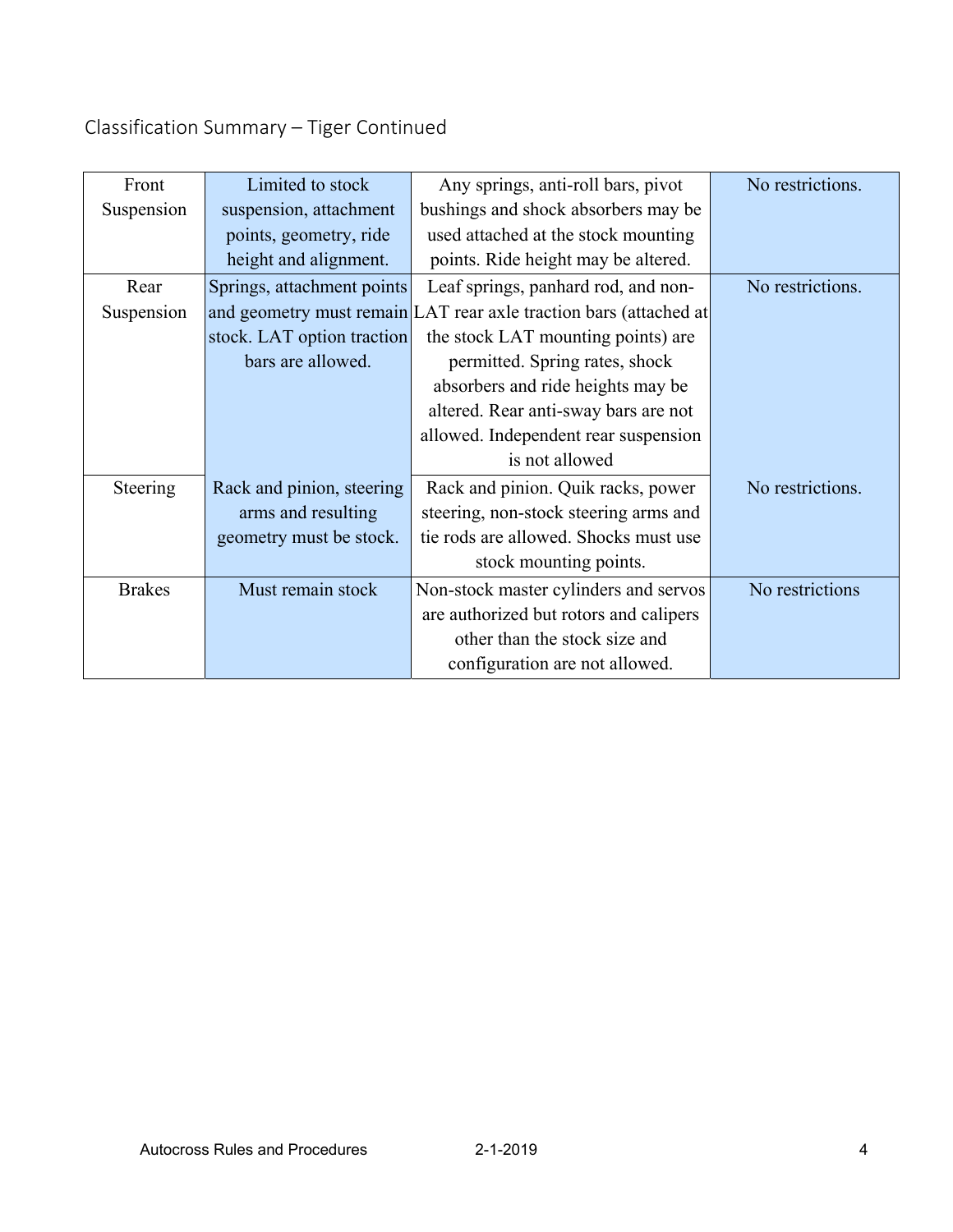### Classification Summary – Tiger Continued

| Front         | Limited to stock           | Any springs, anti-roll bars, pivot                                | No restrictions. |  |
|---------------|----------------------------|-------------------------------------------------------------------|------------------|--|
| Suspension    | suspension, attachment     | bushings and shock absorbers may be                               |                  |  |
|               | points, geometry, ride     | used attached at the stock mounting                               |                  |  |
|               | height and alignment.      | points. Ride height may be altered.                               |                  |  |
| Rear          | Springs, attachment points | Leaf springs, panhard rod, and non-                               | No restrictions. |  |
| Suspension    |                            | and geometry must remain LAT rear axle traction bars (attached at |                  |  |
|               | stock. LAT option traction | the stock LAT mounting points) are                                |                  |  |
|               | bars are allowed.          | permitted. Spring rates, shock                                    |                  |  |
|               |                            | absorbers and ride heights may be                                 |                  |  |
|               |                            | altered. Rear anti-sway bars are not                              |                  |  |
|               |                            | allowed. Independent rear suspension                              |                  |  |
|               |                            | is not allowed                                                    |                  |  |
| Steering      | Rack and pinion, steering  | Rack and pinion. Quik racks, power                                | No restrictions. |  |
|               | arms and resulting         | steering, non-stock steering arms and                             |                  |  |
|               | geometry must be stock.    | tie rods are allowed. Shocks must use                             |                  |  |
|               |                            | stock mounting points.                                            |                  |  |
| <b>Brakes</b> | Must remain stock          | Non-stock master cylinders and servos                             | No restrictions  |  |
|               |                            | are authorized but rotors and calipers                            |                  |  |
|               |                            | other than the stock size and                                     |                  |  |
|               |                            | configuration are not allowed.                                    |                  |  |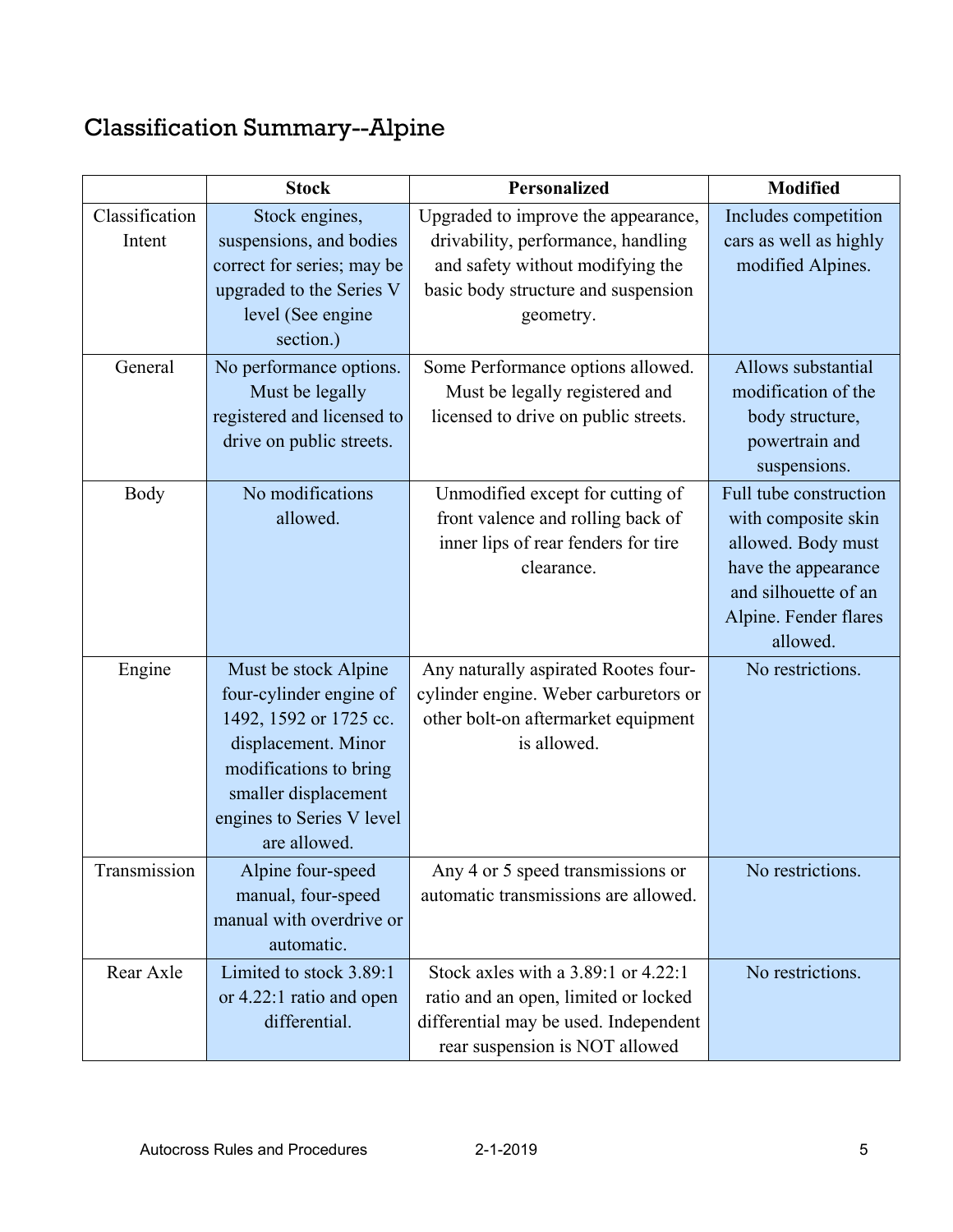# Classification Summary--Alpine

|                          | <b>Stock</b>                                                                                                                                                                                    | <b>Personalized</b>                                                                                                                                               | <b>Modified</b>                                                                                                                                         |
|--------------------------|-------------------------------------------------------------------------------------------------------------------------------------------------------------------------------------------------|-------------------------------------------------------------------------------------------------------------------------------------------------------------------|---------------------------------------------------------------------------------------------------------------------------------------------------------|
| Classification<br>Intent | Stock engines,<br>suspensions, and bodies<br>correct for series; may be<br>upgraded to the Series V<br>level (See engine<br>section.)                                                           | Upgraded to improve the appearance,<br>drivability, performance, handling<br>and safety without modifying the<br>basic body structure and suspension<br>geometry. | Includes competition<br>cars as well as highly<br>modified Alpines.                                                                                     |
| General                  | No performance options.<br>Must be legally<br>registered and licensed to<br>drive on public streets.                                                                                            | Some Performance options allowed.<br>Must be legally registered and<br>licensed to drive on public streets.                                                       | Allows substantial<br>modification of the<br>body structure,<br>powertrain and<br>suspensions.                                                          |
| <b>Body</b>              | No modifications<br>allowed.                                                                                                                                                                    | Unmodified except for cutting of<br>front valence and rolling back of<br>inner lips of rear fenders for tire<br>clearance.                                        | Full tube construction<br>with composite skin<br>allowed. Body must<br>have the appearance<br>and silhouette of an<br>Alpine. Fender flares<br>allowed. |
| Engine                   | Must be stock Alpine<br>four-cylinder engine of<br>1492, 1592 or 1725 cc.<br>displacement. Minor<br>modifications to bring<br>smaller displacement<br>engines to Series V level<br>are allowed. | Any naturally aspirated Rootes four-<br>cylinder engine. Weber carburetors or<br>other bolt-on aftermarket equipment<br>is allowed.                               | No restrictions.                                                                                                                                        |
| Transmission             | Alpine four-speed<br>manual, four-speed<br>manual with overdrive or<br>automatic.                                                                                                               | Any 4 or 5 speed transmissions or<br>automatic transmissions are allowed.                                                                                         | No restrictions.                                                                                                                                        |
| Rear Axle                | Limited to stock 3.89:1<br>or 4.22:1 ratio and open<br>differential.                                                                                                                            | Stock axles with a $3.89:1$ or $4.22:1$<br>ratio and an open, limited or locked<br>differential may be used. Independent<br>rear suspension is NOT allowed        | No restrictions.                                                                                                                                        |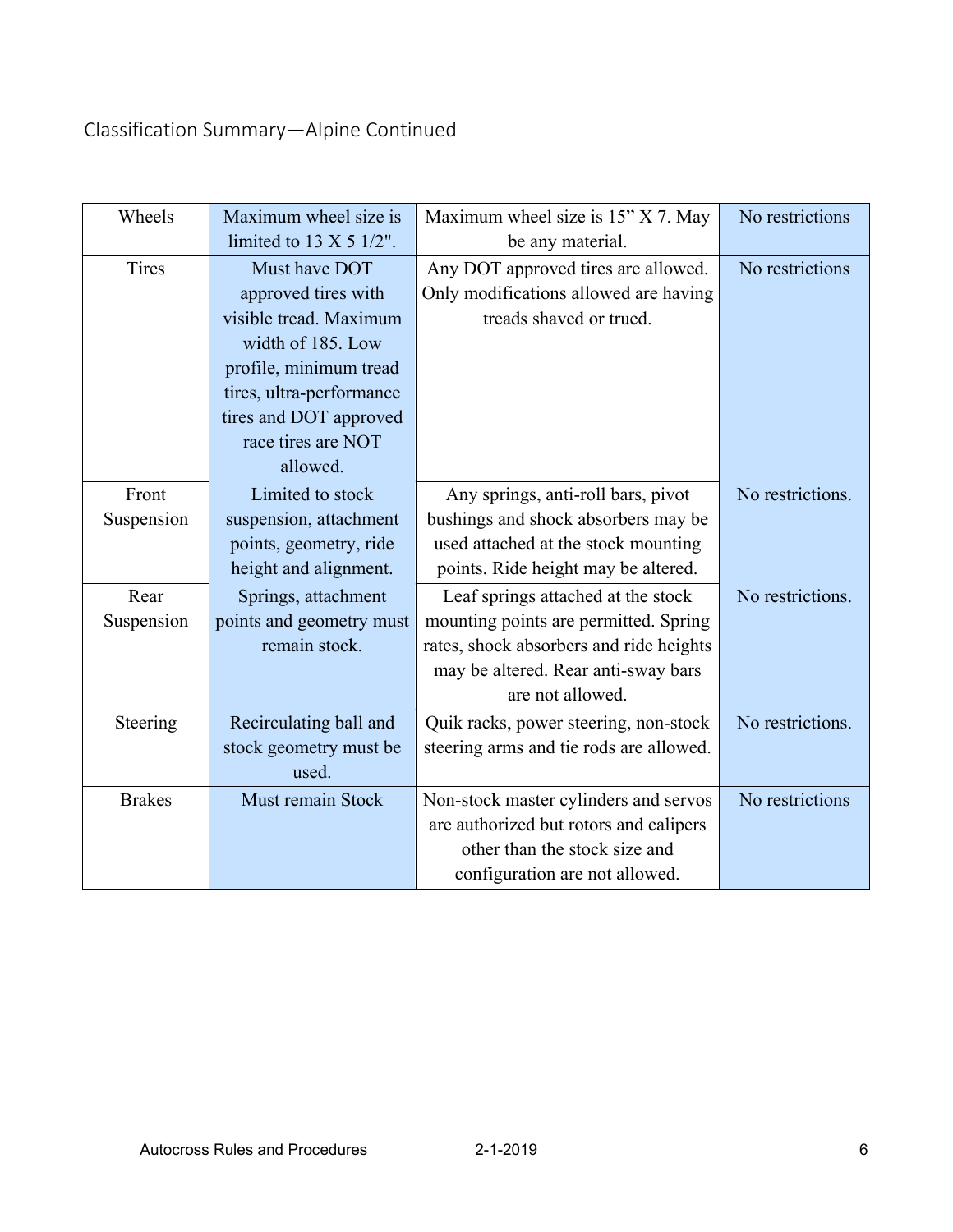### Classification Summary—Alpine Continued

| Wheels        | Maximum wheel size is             | Maximum wheel size is 15" X 7. May      | No restrictions  |
|---------------|-----------------------------------|-----------------------------------------|------------------|
|               | limited to $13 \times 5$ $1/2$ ". | be any material.                        |                  |
| Tires         | Must have DOT                     | Any DOT approved tires are allowed.     | No restrictions  |
|               | approved tires with               | Only modifications allowed are having   |                  |
|               | visible tread. Maximum            | treads shaved or trued.                 |                  |
|               | width of 185. Low                 |                                         |                  |
|               | profile, minimum tread            |                                         |                  |
|               | tires, ultra-performance          |                                         |                  |
|               | tires and DOT approved            |                                         |                  |
|               | race tires are NOT                |                                         |                  |
|               | allowed.                          |                                         |                  |
| Front         | Limited to stock                  | Any springs, anti-roll bars, pivot      | No restrictions. |
| Suspension    | suspension, attachment            | bushings and shock absorbers may be     |                  |
|               | points, geometry, ride            | used attached at the stock mounting     |                  |
|               | height and alignment.             | points. Ride height may be altered.     |                  |
| Rear          | Springs, attachment               | Leaf springs attached at the stock      | No restrictions. |
| Suspension    | points and geometry must          | mounting points are permitted. Spring   |                  |
|               | remain stock.                     | rates, shock absorbers and ride heights |                  |
|               |                                   | may be altered. Rear anti-sway bars     |                  |
|               |                                   | are not allowed.                        |                  |
| Steering      | Recirculating ball and            | Quik racks, power steering, non-stock   | No restrictions. |
|               | stock geometry must be            | steering arms and tie rods are allowed. |                  |
|               | used.                             |                                         |                  |
| <b>Brakes</b> | Must remain Stock                 | Non-stock master cylinders and servos   | No restrictions  |
|               |                                   | are authorized but rotors and calipers  |                  |
|               |                                   | other than the stock size and           |                  |
|               |                                   | configuration are not allowed.          |                  |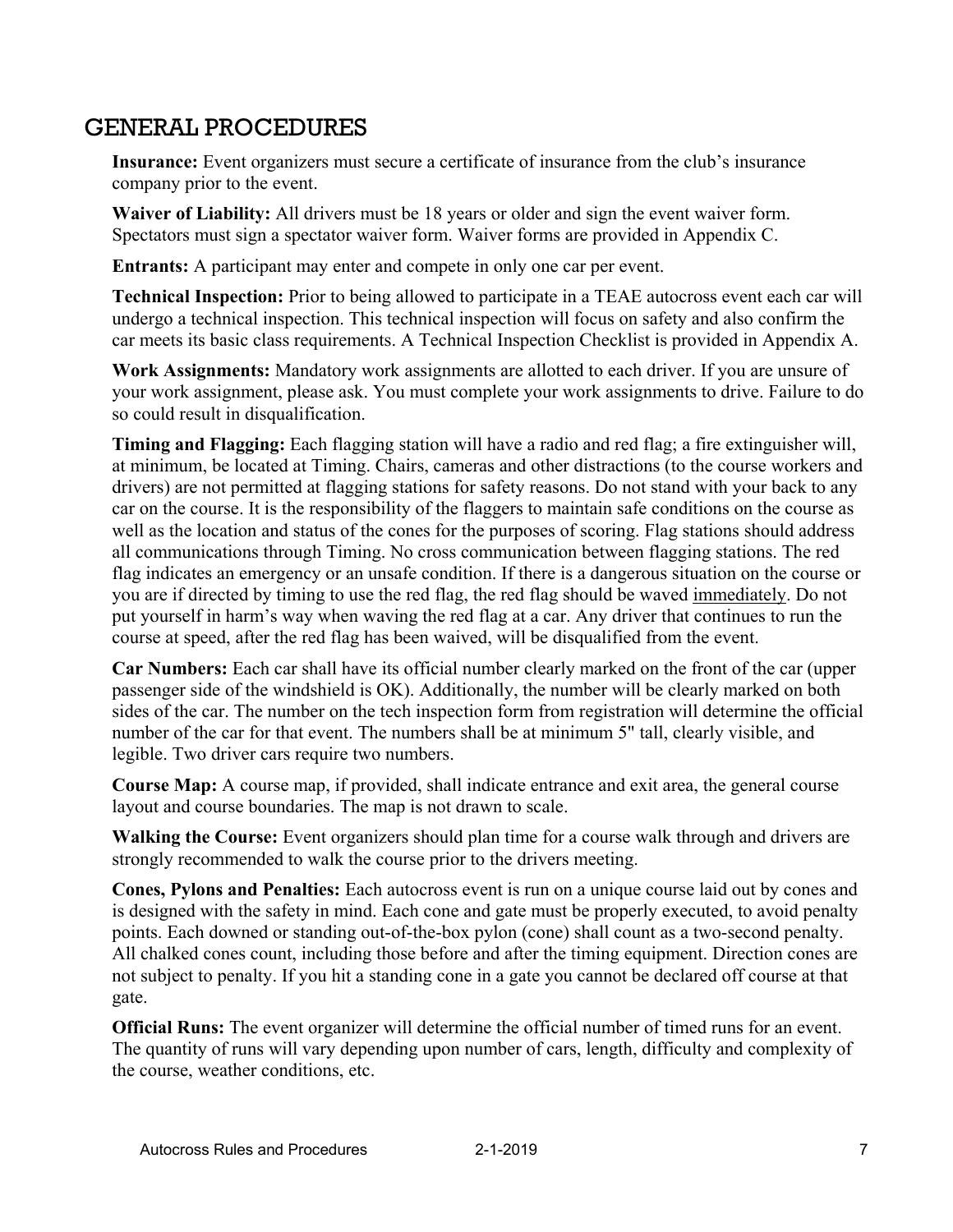### GENERAL PROCEDURES

**Insurance:** Event organizers must secure a certificate of insurance from the club's insurance company prior to the event.

**Waiver of Liability:** All drivers must be 18 years or older and sign the event waiver form. Spectators must sign a spectator waiver form. Waiver forms are provided in Appendix C.

**Entrants:** A participant may enter and compete in only one car per event.

**Technical Inspection:** Prior to being allowed to participate in a TEAE autocross event each car will undergo a technical inspection. This technical inspection will focus on safety and also confirm the car meets its basic class requirements. A Technical Inspection Checklist is provided in Appendix A.

**Work Assignments:** Mandatory work assignments are allotted to each driver. If you are unsure of your work assignment, please ask. You must complete your work assignments to drive. Failure to do so could result in disqualification.

**Timing and Flagging:** Each flagging station will have a radio and red flag; a fire extinguisher will, at minimum, be located at Timing. Chairs, cameras and other distractions (to the course workers and drivers) are not permitted at flagging stations for safety reasons. Do not stand with your back to any car on the course. It is the responsibility of the flaggers to maintain safe conditions on the course as well as the location and status of the cones for the purposes of scoring. Flag stations should address all communications through Timing. No cross communication between flagging stations. The red flag indicates an emergency or an unsafe condition. If there is a dangerous situation on the course or you are if directed by timing to use the red flag, the red flag should be waved immediately. Do not put yourself in harm's way when waving the red flag at a car. Any driver that continues to run the course at speed, after the red flag has been waived, will be disqualified from the event.

**Car Numbers:** Each car shall have its official number clearly marked on the front of the car (upper passenger side of the windshield is OK). Additionally, the number will be clearly marked on both sides of the car. The number on the tech inspection form from registration will determine the official number of the car for that event. The numbers shall be at minimum 5" tall, clearly visible, and legible. Two driver cars require two numbers.

**Course Map:** A course map, if provided, shall indicate entrance and exit area, the general course layout and course boundaries. The map is not drawn to scale.

**Walking the Course:** Event organizers should plan time for a course walk through and drivers are strongly recommended to walk the course prior to the drivers meeting.

**Cones, Pylons and Penalties:** Each autocross event is run on a unique course laid out by cones and is designed with the safety in mind. Each cone and gate must be properly executed, to avoid penalty points. Each downed or standing out-of-the-box pylon (cone) shall count as a two-second penalty. All chalked cones count, including those before and after the timing equipment. Direction cones are not subject to penalty. If you hit a standing cone in a gate you cannot be declared off course at that gate.

**Official Runs:** The event organizer will determine the official number of timed runs for an event. The quantity of runs will vary depending upon number of cars, length, difficulty and complexity of the course, weather conditions, etc.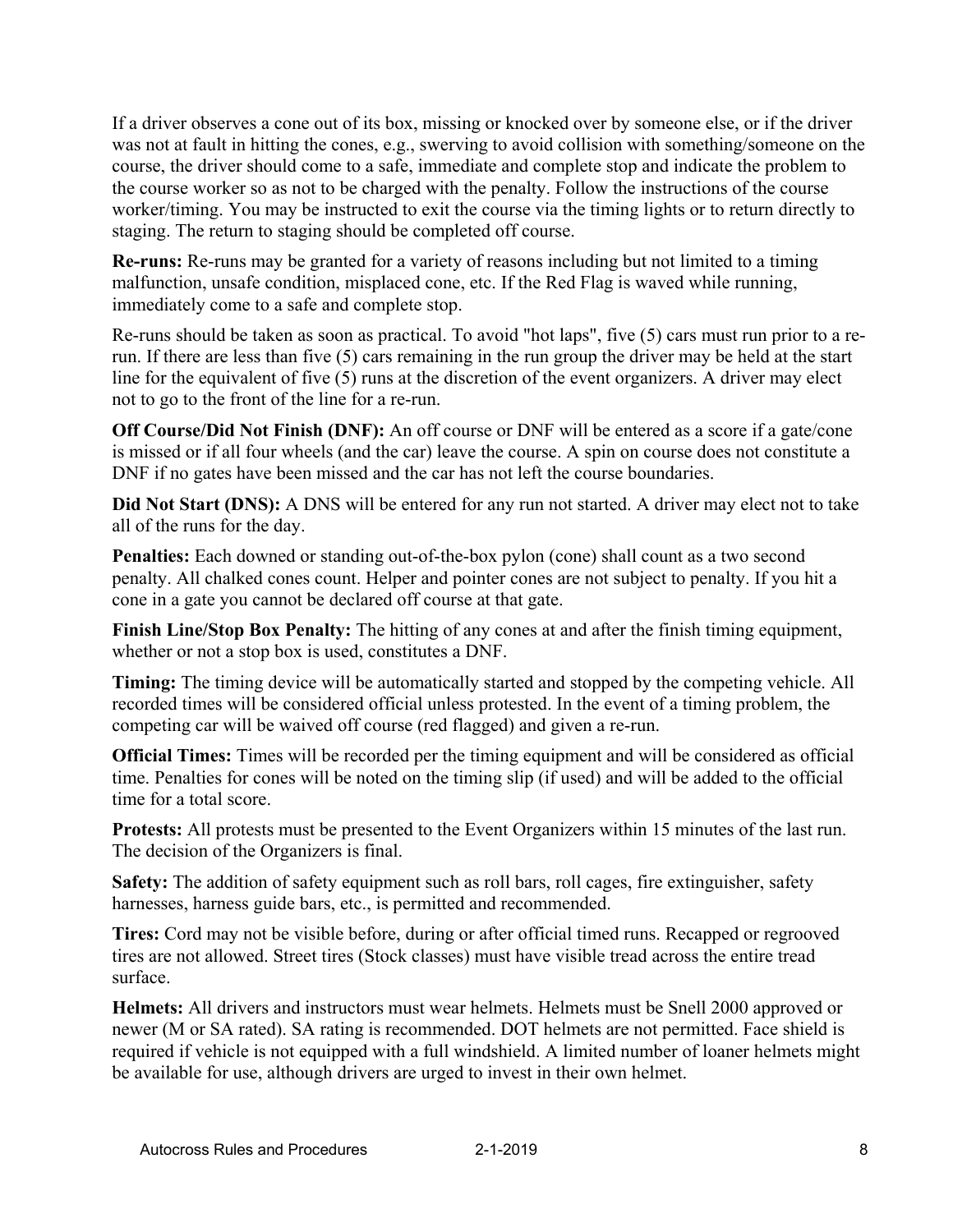If a driver observes a cone out of its box, missing or knocked over by someone else, or if the driver was not at fault in hitting the cones, e.g., swerving to avoid collision with something/someone on the course, the driver should come to a safe, immediate and complete stop and indicate the problem to the course worker so as not to be charged with the penalty. Follow the instructions of the course worker/timing. You may be instructed to exit the course via the timing lights or to return directly to staging. The return to staging should be completed off course.

**Re-runs:** Re-runs may be granted for a variety of reasons including but not limited to a timing malfunction, unsafe condition, misplaced cone, etc. If the Red Flag is waved while running, immediately come to a safe and complete stop.

Re-runs should be taken as soon as practical. To avoid "hot laps", five (5) cars must run prior to a rerun. If there are less than five (5) cars remaining in the run group the driver may be held at the start line for the equivalent of five (5) runs at the discretion of the event organizers. A driver may elect not to go to the front of the line for a re-run.

**Off Course/Did Not Finish (DNF):** An off course or DNF will be entered as a score if a gate/cone is missed or if all four wheels (and the car) leave the course. A spin on course does not constitute a DNF if no gates have been missed and the car has not left the course boundaries.

**Did Not Start (DNS):** A DNS will be entered for any run not started. A driver may elect not to take all of the runs for the day.

**Penalties:** Each downed or standing out-of-the-box pylon (cone) shall count as a two second penalty. All chalked cones count. Helper and pointer cones are not subject to penalty. If you hit a cone in a gate you cannot be declared off course at that gate.

**Finish Line/Stop Box Penalty:** The hitting of any cones at and after the finish timing equipment, whether or not a stop box is used, constitutes a DNF.

**Timing:** The timing device will be automatically started and stopped by the competing vehicle. All recorded times will be considered official unless protested. In the event of a timing problem, the competing car will be waived off course (red flagged) and given a re-run.

**Official Times:** Times will be recorded per the timing equipment and will be considered as official time. Penalties for cones will be noted on the timing slip (if used) and will be added to the official time for a total score.

**Protests:** All protests must be presented to the Event Organizers within 15 minutes of the last run. The decision of the Organizers is final.

**Safety:** The addition of safety equipment such as roll bars, roll cages, fire extinguisher, safety harnesses, harness guide bars, etc., is permitted and recommended.

**Tires:** Cord may not be visible before, during or after official timed runs. Recapped or regrooved tires are not allowed. Street tires (Stock classes) must have visible tread across the entire tread surface.

**Helmets:** All drivers and instructors must wear helmets. Helmets must be Snell 2000 approved or newer (M or SA rated). SA rating is recommended. DOT helmets are not permitted. Face shield is required if vehicle is not equipped with a full windshield. A limited number of loaner helmets might be available for use, although drivers are urged to invest in their own helmet.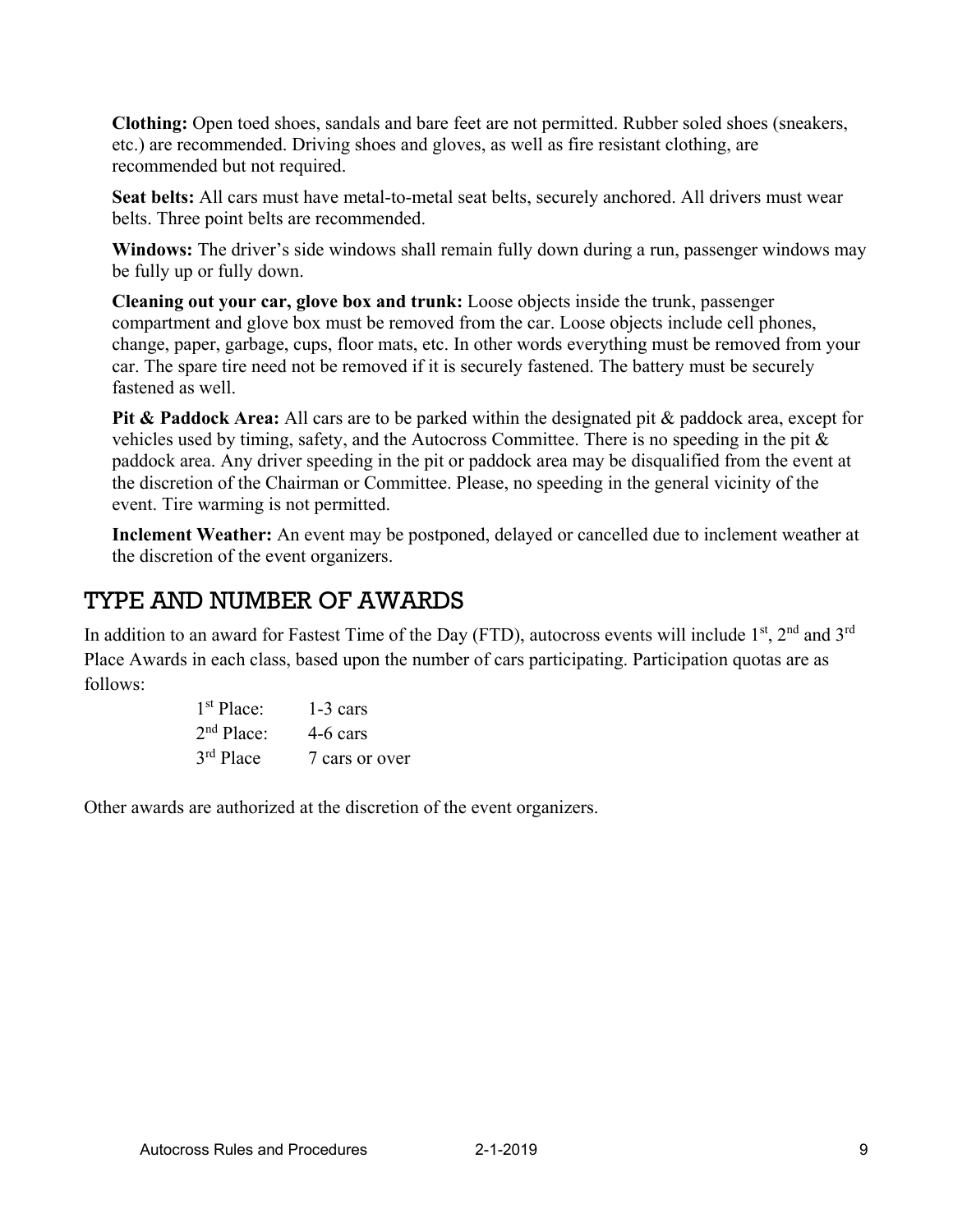**Clothing:** Open toed shoes, sandals and bare feet are not permitted. Rubber soled shoes (sneakers, etc.) are recommended. Driving shoes and gloves, as well as fire resistant clothing, are recommended but not required.

**Seat belts:** All cars must have metal-to-metal seat belts, securely anchored. All drivers must wear belts. Three point belts are recommended.

**Windows:** The driver's side windows shall remain fully down during a run, passenger windows may be fully up or fully down.

**Cleaning out your car, glove box and trunk:** Loose objects inside the trunk, passenger compartment and glove box must be removed from the car. Loose objects include cell phones, change, paper, garbage, cups, floor mats, etc. In other words everything must be removed from your car. The spare tire need not be removed if it is securely fastened. The battery must be securely fastened as well.

**Pit & Paddock Area:** All cars are to be parked within the designated pit & paddock area, except for vehicles used by timing, safety, and the Autocross Committee. There is no speeding in the pit & paddock area. Any driver speeding in the pit or paddock area may be disqualified from the event at the discretion of the Chairman or Committee. Please, no speeding in the general vicinity of the event. Tire warming is not permitted.

**Inclement Weather:** An event may be postponed, delayed or cancelled due to inclement weather at the discretion of the event organizers.

### TYPE AND NUMBER OF AWARDS

In addition to an award for Fastest Time of the Day (FTD), autocross events will include  $1<sup>st</sup>$ ,  $2<sup>nd</sup>$  and  $3<sup>rd</sup>$ Place Awards in each class, based upon the number of cars participating. Participation quotas are as follows:

| 1 <sup>st</sup> Place: | $1-3$ cars     |
|------------------------|----------------|
| 2 <sup>nd</sup> Place: | 4-6 cars       |
| $3rd$ Place            | 7 cars or over |

Other awards are authorized at the discretion of the event organizers.